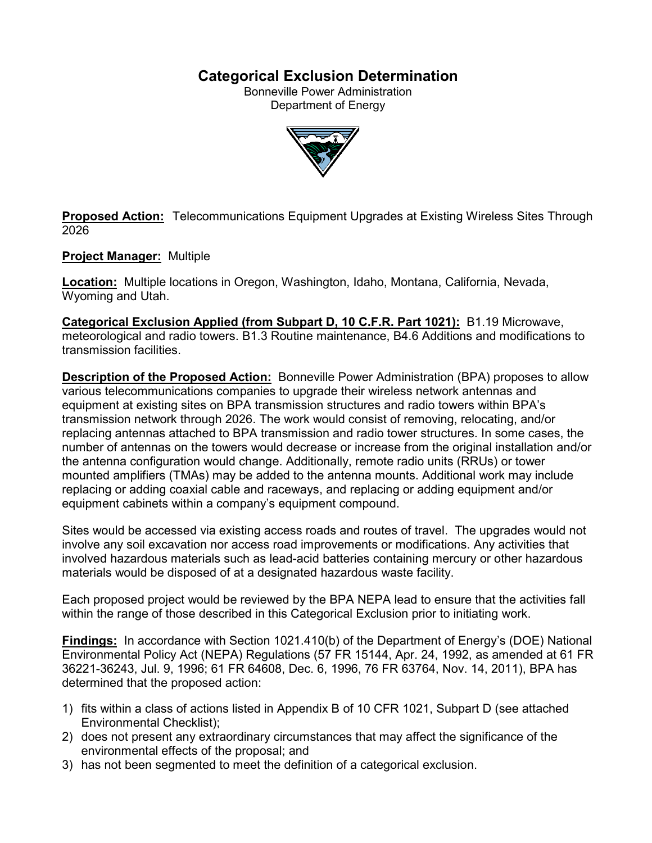# **Categorical Exclusion Determination**

Bonneville Power Administration Department of Energy



**Proposed Action:** Telecommunications Equipment Upgrades at Existing Wireless Sites Through 2026

### **Project Manager:** Multiple

**Location:** Multiple locations in Oregon, Washington, Idaho, Montana, California, Nevada, Wyoming and Utah.

**Categorical Exclusion Applied (from Subpart D, 10 C.F.R. Part 1021):** B1.19 Microwave, meteorological and radio towers. B1.3 Routine maintenance, B4.6 Additions and modifications to transmission facilities.

**Description of the Proposed Action:** Bonneville Power Administration (BPA) proposes to allow various telecommunications companies to upgrade their wireless network antennas and equipment at existing sites on BPA transmission structures and radio towers within BPA's transmission network through 2026. The work would consist of removing, relocating, and/or replacing antennas attached to BPA transmission and radio tower structures. In some cases, the number of antennas on the towers would decrease or increase from the original installation and/or the antenna configuration would change. Additionally, remote radio units (RRUs) or tower mounted amplifiers (TMAs) may be added to the antenna mounts. Additional work may include replacing or adding coaxial cable and raceways, and replacing or adding equipment and/or equipment cabinets within a company's equipment compound.

Sites would be accessed via existing access roads and routes of travel. The upgrades would not involve any soil excavation nor access road improvements or modifications. Any activities that involved hazardous materials such as lead-acid batteries containing mercury or other hazardous materials would be disposed of at a designated hazardous waste facility.

Each proposed project would be reviewed by the BPA NEPA lead to ensure that the activities fall within the range of those described in this Categorical Exclusion prior to initiating work.

**Findings:** In accordance with Section 1021.410(b) of the Department of Energy's (DOE) National Environmental Policy Act (NEPA) Regulations (57 FR 15144, Apr. 24, 1992, as amended at 61 FR 36221-36243, Jul. 9, 1996; 61 FR 64608, Dec. 6, 1996, 76 FR 63764, Nov. 14, 2011), BPA has determined that the proposed action:

- 1) fits within a class of actions listed in Appendix B of 10 CFR 1021, Subpart D (see attached Environmental Checklist);
- 2) does not present any extraordinary circumstances that may affect the significance of the environmental effects of the proposal; and
- 3) has not been segmented to meet the definition of a categorical exclusion.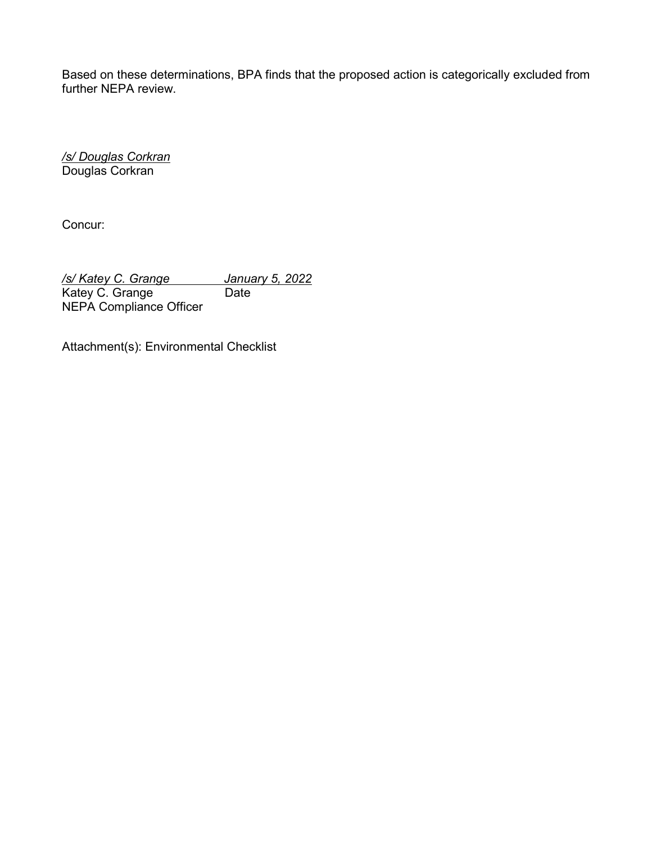Based on these determinations, BPA finds that the proposed action is categorically excluded from further NEPA review.

*/s/ Douglas Corkran* Douglas Corkran

Concur:

*/s/ Katey C. Grange January 5, 2022* Katey C. Grange NEPA Compliance Officer

Attachment(s): Environmental Checklist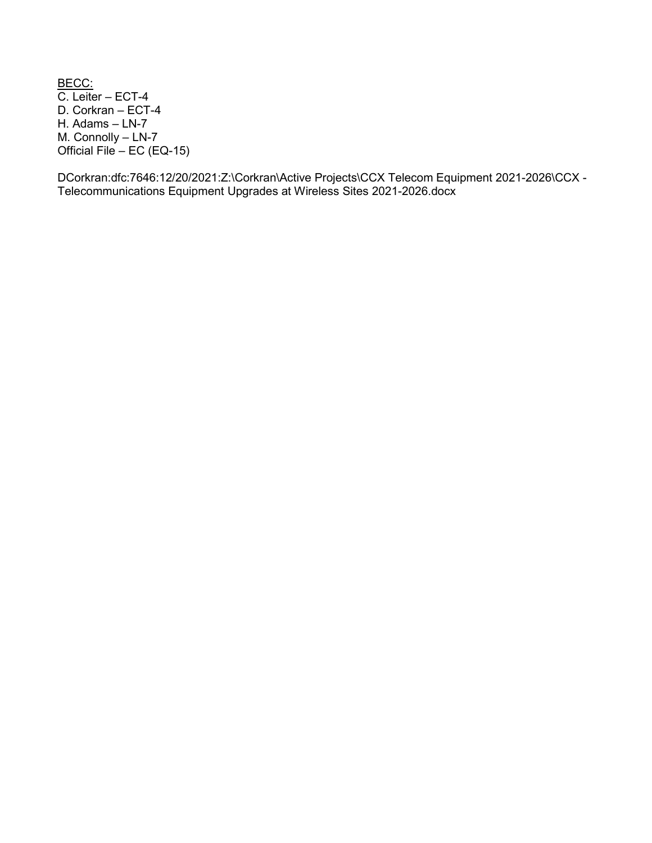<u>BECC:</u> C. Leiter – ECT-4 D. Corkran – ECT-4 H. Adams – LN-7 M. Connolly – LN-7 Official File – EC (EQ-15)

DCorkran:dfc:7646:12/20/2021:Z:\Corkran\Active Projects\CCX Telecom Equipment 2021-2026\CCX - Telecommunications Equipment Upgrades at Wireless Sites 2021-2026.docx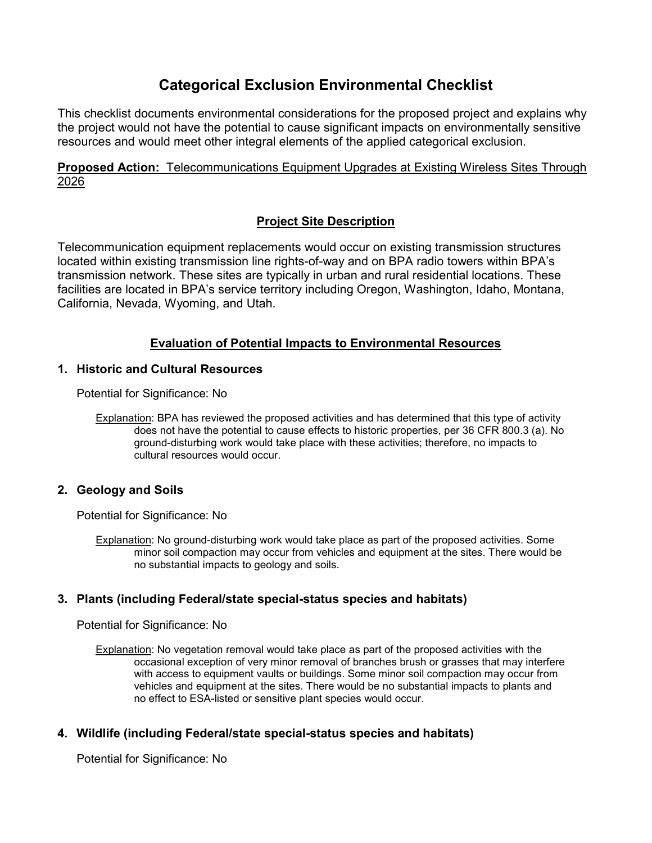# **Categorical Exclusion Environmental Checklist**

This checklist documents environmental considerations for the proposed project and explains why the project would not have the potential to cause significant impacts on environmentally sensitive resources and would meet other integral elements of the applied categorical exclusion.

**Proposed Action:** Telecommunications Equipment Upgrades at Existing Wireless Sites Through 2026

# **Project Site Description**

Telecommunication equipment replacements would occur on existing transmission structures located within existing transmission line rights-of-way and on BPA radio towers within BPA's transmission network. These sites are typically in urban and rural residential locations. These facilities are located in BPA's service territory including Oregon, Washington, Idaho, Montana, California, Nevada, Wyoming, and Utah.

# **Evaluation of Potential Impacts to Environmental Resources**

### **1. Historic and Cultural Resources**

Potential for Significance: No

Explanation: BPA has reviewed the proposed activities and has determined that this type of activity does not have the potential to cause effects to historic properties, per 36 CFR 800.3 (a). No ground-disturbing work would take place with these activities; therefore, no impacts to cultural resources would occur.

# **2. Geology and Soils**

Potential for Significance: No

Explanation: No ground-disturbing work would take place as part of the proposed activities. Some minor soil compaction may occur from vehicles and equipment at the sites. There would be no substantial impacts to geology and soils.

# **3. Plants (including Federal/state special-status species and habitats)**

Potential for Significance: No

Explanation: No vegetation removal would take place as part of the proposed activities with the occasional exception of very minor removal of branches brush or grasses that may interfere with access to equipment vaults or buildings. Some minor soil compaction may occur from vehicles and equipment at the sites. There would be no substantial impacts to plants and no effect to ESA-listed or sensitive plant species would occur.

# **4. Wildlife (including Federal/state special-status species and habitats)**

Potential for Significance: No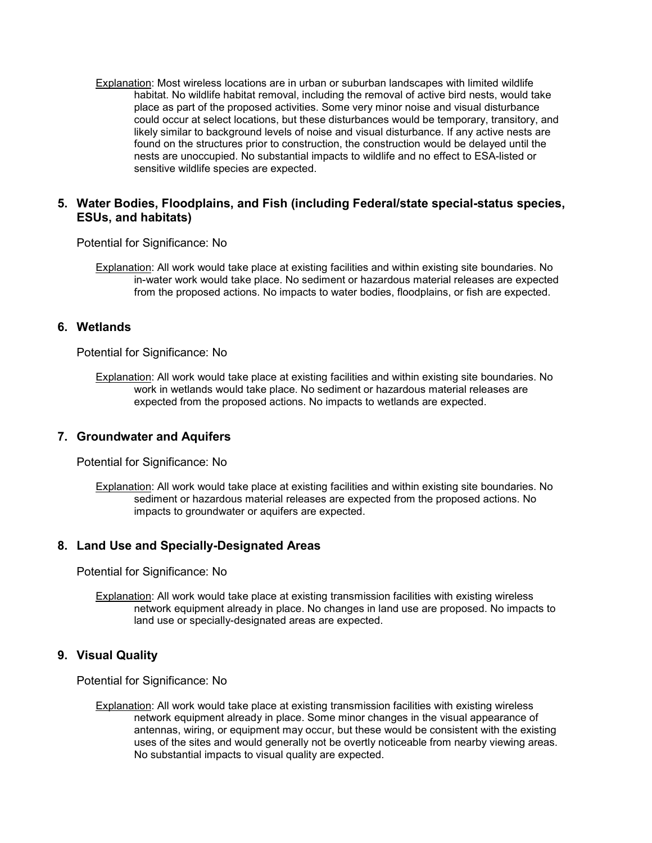Explanation: Most wireless locations are in urban or suburban landscapes with limited wildlife habitat. No wildlife habitat removal, including the removal of active bird nests, would take place as part of the proposed activities. Some very minor noise and visual disturbance could occur at select locations, but these disturbances would be temporary, transitory, and likely similar to background levels of noise and visual disturbance. If any active nests are found on the structures prior to construction, the construction would be delayed until the nests are unoccupied. No substantial impacts to wildlife and no effect to ESA-listed or sensitive wildlife species are expected.

#### **5. Water Bodies, Floodplains, and Fish (including Federal/state special-status species, ESUs, and habitats)**

Potential for Significance: No

Explanation: All work would take place at existing facilities and within existing site boundaries. No in-water work would take place. No sediment or hazardous material releases are expected from the proposed actions. No impacts to water bodies, floodplains, or fish are expected.

#### **6. Wetlands**

Potential for Significance: No

Explanation: All work would take place at existing facilities and within existing site boundaries. No work in wetlands would take place. No sediment or hazardous material releases are expected from the proposed actions. No impacts to wetlands are expected.

#### **7. Groundwater and Aquifers**

Potential for Significance: No

Explanation: All work would take place at existing facilities and within existing site boundaries. No sediment or hazardous material releases are expected from the proposed actions. No impacts to groundwater or aquifers are expected.

#### **8. Land Use and Specially-Designated Areas**

Potential for Significance: No

Explanation: All work would take place at existing transmission facilities with existing wireless network equipment already in place. No changes in land use are proposed. No impacts to land use or specially-designated areas are expected.

#### **9. Visual Quality**

Potential for Significance: No

Explanation: All work would take place at existing transmission facilities with existing wireless network equipment already in place. Some minor changes in the visual appearance of antennas, wiring, or equipment may occur, but these would be consistent with the existing uses of the sites and would generally not be overtly noticeable from nearby viewing areas. No substantial impacts to visual quality are expected.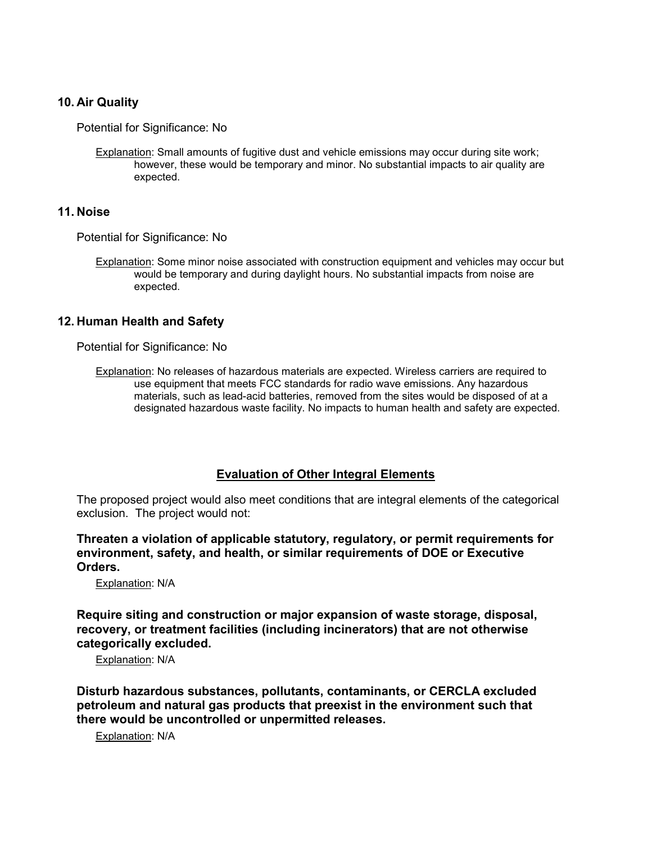#### **10. Air Quality**

Potential for Significance: No

Explanation: Small amounts of fugitive dust and vehicle emissions may occur during site work; however, these would be temporary and minor. No substantial impacts to air quality are expected.

#### **11. Noise**

Potential for Significance: No

Explanation: Some minor noise associated with construction equipment and vehicles may occur but would be temporary and during daylight hours. No substantial impacts from noise are expected.

#### **12. Human Health and Safety**

Potential for Significance: No

Explanation: No releases of hazardous materials are expected. Wireless carriers are required to use equipment that meets FCC standards for radio wave emissions. Any hazardous materials, such as lead-acid batteries, removed from the sites would be disposed of at a designated hazardous waste facility. No impacts to human health and safety are expected.

#### **Evaluation of Other Integral Elements**

The proposed project would also meet conditions that are integral elements of the categorical exclusion. The project would not:

**Threaten a violation of applicable statutory, regulatory, or permit requirements for environment, safety, and health, or similar requirements of DOE or Executive Orders.**

Explanation: N/A

**Require siting and construction or major expansion of waste storage, disposal, recovery, or treatment facilities (including incinerators) that are not otherwise categorically excluded.**

Explanation: N/A

**Disturb hazardous substances, pollutants, contaminants, or CERCLA excluded petroleum and natural gas products that preexist in the environment such that there would be uncontrolled or unpermitted releases.**

Explanation: N/A